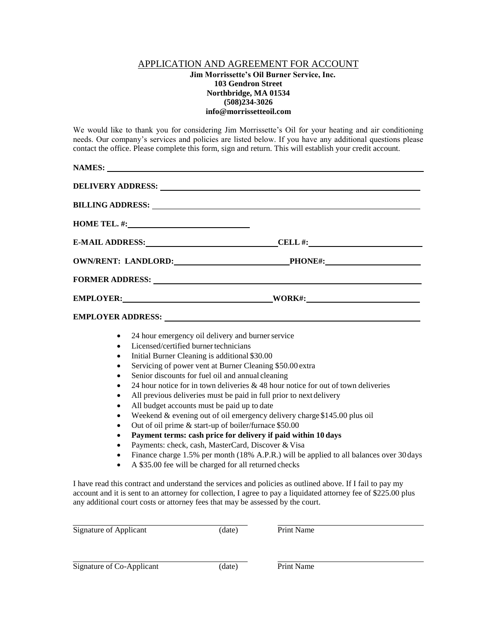## APPLICATION AND AGREEMENT FOR ACCOUNT

## **Jim Morrissette's Oil Burner Service, Inc. 103 Gendron Street Northbridge, MA 01534 (508)234-3026 [info@morrissetteoil.com](mailto:info@morrissetteoil.com)**

We would like to thank you for considering Jim Morrissette's Oil for your heating and air conditioning needs. Our company's services and policies are listed below. If you have any additional questions please contact the office. Please complete this form, sign and return. This will establish your credit account.

|                                                                                                                               | DELIVERY ADDRESS: NAME OF PROPERTY ADDRESS:                                                                                                                                                                                                                                                                                                                                                                                                                                                                                                                                                                                                                                                                                                                                                                                                                                                |
|-------------------------------------------------------------------------------------------------------------------------------|--------------------------------------------------------------------------------------------------------------------------------------------------------------------------------------------------------------------------------------------------------------------------------------------------------------------------------------------------------------------------------------------------------------------------------------------------------------------------------------------------------------------------------------------------------------------------------------------------------------------------------------------------------------------------------------------------------------------------------------------------------------------------------------------------------------------------------------------------------------------------------------------|
|                                                                                                                               | <b>BILLING ADDRESS:</b>                                                                                                                                                                                                                                                                                                                                                                                                                                                                                                                                                                                                                                                                                                                                                                                                                                                                    |
|                                                                                                                               | HOME TEL. $\#$ :                                                                                                                                                                                                                                                                                                                                                                                                                                                                                                                                                                                                                                                                                                                                                                                                                                                                           |
|                                                                                                                               | E-MAIL ADDRESS: CHARGE CELL #:                                                                                                                                                                                                                                                                                                                                                                                                                                                                                                                                                                                                                                                                                                                                                                                                                                                             |
|                                                                                                                               | OWN/RENT: LANDLORD: PHONE#:                                                                                                                                                                                                                                                                                                                                                                                                                                                                                                                                                                                                                                                                                                                                                                                                                                                                |
|                                                                                                                               |                                                                                                                                                                                                                                                                                                                                                                                                                                                                                                                                                                                                                                                                                                                                                                                                                                                                                            |
|                                                                                                                               | EMPLOYER: WORK#: WORK#:                                                                                                                                                                                                                                                                                                                                                                                                                                                                                                                                                                                                                                                                                                                                                                                                                                                                    |
|                                                                                                                               |                                                                                                                                                                                                                                                                                                                                                                                                                                                                                                                                                                                                                                                                                                                                                                                                                                                                                            |
| $\bullet$<br>$\bullet$<br>$\bullet$<br>٠<br>$\bullet$<br>٠<br>$\bullet$<br>٠<br>$\bullet$<br>$\bullet$<br>٠<br>$\bullet$<br>٠ | 24 hour emergency oil delivery and burner service<br>Licensed/certified burner technicians<br>Initial Burner Cleaning is additional \$30.00<br>Servicing of power vent at Burner Cleaning \$50.00 extra<br>Senior discounts for fuel oil and annual cleaning<br>24 hour notice for in town deliveries $\& 48$ hour notice for out of town deliveries<br>All previous deliveries must be paid in full prior to next delivery<br>All budget accounts must be paid up to date<br>Weekend & evening out of oil emergency delivery charge \$145.00 plus oil<br>Out of oil prime & start-up of boiler/furnace \$50.00<br>Payment terms: cash price for delivery if paid within 10 days<br>Payments: check, cash, MasterCard, Discover & Visa<br>Finance charge 1.5% per month (18% A.P.R.) will be applied to all balances over 30 days<br>A \$35.00 fee will be charged for all returned checks |
|                                                                                                                               | I have read this contract and understand the services and policies as outlined above. If I fail to pay my<br>account and it is sont to an attornou for collection. I garge to nay a liquidated attornou for of \$225.00 plus                                                                                                                                                                                                                                                                                                                                                                                                                                                                                                                                                                                                                                                               |

account and it is sent to an attorney for collection, I agree to pay a liquidated attorney fee of \$225.00 plus any additional court costs or attorney fees that may be assessed by the court.

| Signature of Applicant    | (date) | Print Name |
|---------------------------|--------|------------|
|                           |        |            |
| Signature of Co-Applicant | (date) | Print Name |